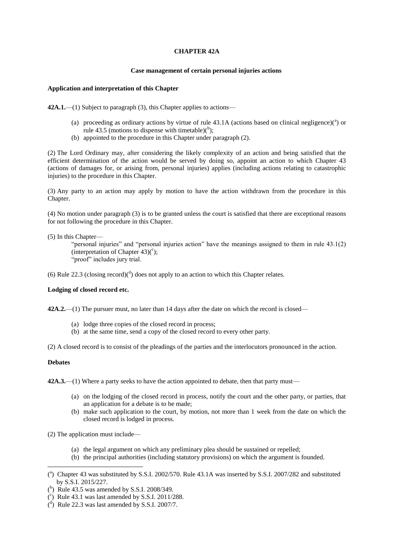## **CHAPTER 42A**

## **Case management of certain personal injuries actions**

#### **Application and interpretation of this Chapter**

**42A.1.**—(1) Subject to paragraph (3), this Chapter applies to actions—

- (a) proceeding as ordinary actions by virtue of rule  $43.1A$  (actions based on clinical negligence)( $a$ ) or rule 43.5 (motions to dispense with timetable)( $\rm^{b}$ );
- (b) appointed to the procedure in this Chapter under paragraph (2).

(2) The Lord Ordinary may, after considering the likely complexity of an action and being satisfied that the efficient determination of the action would be served by doing so, appoint an action to which Chapter 43 (actions of damages for, or arising from, personal injuries) applies (including actions relating to catastrophic injuries) to the procedure in this Chapter.

(3) Any party to an action may apply by motion to have the action withdrawn from the procedure in this Chapter.

(4) No motion under paragraph (3) is to be granted unless the court is satisfied that there are exceptional reasons for not following the procedure in this Chapter.

- (5) In this Chapter—
	- "personal injuries" and "personal injuries action" have the meanings assigned to them in rule 43.1(2) (interpretation of Chapter 43) $(^{\circ})$ ; "proof" includes jury trial.

(6) Rule 22.3 (closing record)( $<sup>d</sup>$ ) does not apply to an action to which this Chapter relates.</sup>

#### **Lodging of closed record etc.**

**42A.2.**—(1) The pursuer must, no later than 14 days after the date on which the record is closed—

- (a) lodge three copies of the closed record in process;
- (b) at the same time, send a copy of the closed record to every other party.
- (2) A closed record is to consist of the pleadings of the parties and the interlocutors pronounced in the action.

### **Debates**

**.** 

**42A.3.**—(1) Where a party seeks to have the action appointed to debate, then that party must—

- (a) on the lodging of the closed record in process, notify the court and the other party, or parties, that an application for a debate is to be made;
- (b) make such application to the court, by motion, not more than 1 week from the date on which the closed record is lodged in process.

(2) The application must include—

- (a) the legal argument on which any preliminary plea should be sustained or repelled;
- (b) the principal authorities (including statutory provisions) on which the argument is founded.

<sup>(</sup> a ) Chapter 43 was substituted by S.S.I. 2002/570. Rule 43.1A was inserted by S.S.I. 2007/282 and substituted by S.S.I. 2015/227.

 $(^{b})$  Rule 43.5 was amended by S.S.I. 2008/349.

 $(°)$  Rule 43.1 was last amended by S.S.I. 2011/288.

 $\binom{d}{k}$  Rule 22.3 was last amended by S.S.I. 2007/7.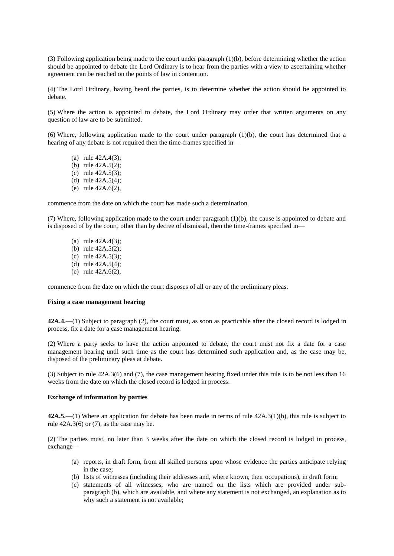(3) Following application being made to the court under paragraph (1)(b), before determining whether the action should be appointed to debate the Lord Ordinary is to hear from the parties with a view to ascertaining whether agreement can be reached on the points of law in contention.

(4) The Lord Ordinary, having heard the parties, is to determine whether the action should be appointed to debate.

(5) Where the action is appointed to debate, the Lord Ordinary may order that written arguments on any question of law are to be submitted.

(6) Where, following application made to the court under paragraph (1)(b), the court has determined that a hearing of any debate is not required then the time-frames specified in—

- (a) rule 42A.4(3);
- (b) rule 42A.5(2);
- (c) rule 42A.5(3);
- (d) rule 42A.5(4);
- (e) rule 42A.6(2),

commence from the date on which the court has made such a determination.

(7) Where, following application made to the court under paragraph (1)(b), the cause is appointed to debate and is disposed of by the court, other than by decree of dismissal, then the time-frames specified in—

(a) rule 42A.4(3); (b) rule 42A.5(2); (c) rule 42A.5(3); (d) rule 42A.5(4); (e) rule 42A.6(2),

commence from the date on which the court disposes of all or any of the preliminary pleas.

# **Fixing a case management hearing**

**42A.4.**—(1) Subject to paragraph (2), the court must, as soon as practicable after the closed record is lodged in process, fix a date for a case management hearing.

(2) Where a party seeks to have the action appointed to debate, the court must not fix a date for a case management hearing until such time as the court has determined such application and, as the case may be, disposed of the preliminary pleas at debate.

(3) Subject to rule 42A.3(6) and (7), the case management hearing fixed under this rule is to be not less than 16 weeks from the date on which the closed record is lodged in process.

### **Exchange of information by parties**

**42A.5.**—(1) Where an application for debate has been made in terms of rule 42A.3(1)(b), this rule is subject to rule  $42A.3(6)$  or  $(7)$ , as the case may be.

(2) The parties must, no later than 3 weeks after the date on which the closed record is lodged in process, exchange—

- (a) reports, in draft form, from all skilled persons upon whose evidence the parties anticipate relying in the case;
- (b) lists of witnesses (including their addresses and, where known, their occupations), in draft form;
- (c) statements of all witnesses, who are named on the lists which are provided under subparagraph (b), which are available, and where any statement is not exchanged, an explanation as to why such a statement is not available;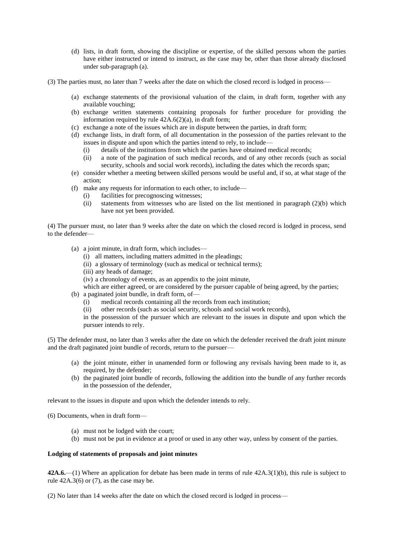- (d) lists, in draft form, showing the discipline or expertise, of the skilled persons whom the parties have either instructed or intend to instruct, as the case may be, other than those already disclosed under sub-paragraph (a).
- (3) The parties must, no later than 7 weeks after the date on which the closed record is lodged in process—
	- (a) exchange statements of the provisional valuation of the claim, in draft form, together with any available vouching;
	- (b) exchange written statements containing proposals for further procedure for providing the information required by rule  $42A.6(2)(a)$ , in draft form;
	- (c) exchange a note of the issues which are in dispute between the parties, in draft form;
	- (d) exchange lists, in draft form, of all documentation in the possession of the parties relevant to the issues in dispute and upon which the parties intend to rely, to include—
		- (i) details of the institutions from which the parties have obtained medical records;
		- (ii) a note of the pagination of such medical records, and of any other records (such as social security, schools and social work records), including the dates which the records span;
	- (e) consider whether a meeting between skilled persons would be useful and, if so, at what stage of the action;
	- (f) make any requests for information to each other, to include—
		- (i) facilities for precognoscing witnesses;
		- (ii) statements from witnesses who are listed on the list mentioned in paragraph (2)(b) which have not yet been provided.

(4) The pursuer must, no later than 9 weeks after the date on which the closed record is lodged in process, send to the defender—

- (a) a joint minute, in draft form, which includes—
	- (i) all matters, including matters admitted in the pleadings;
	- (ii) a glossary of terminology (such as medical or technical terms);
	- (iii) any heads of damage;
	- (iv) a chronology of events, as an appendix to the joint minute,
	- which are either agreed, or are considered by the pursuer capable of being agreed, by the parties;
- (b) a paginated joint bundle, in draft form, of—
	- (i) medical records containing all the records from each institution;
	- (ii) other records (such as social security, schools and social work records),

in the possession of the pursuer which are relevant to the issues in dispute and upon which the pursuer intends to rely.

(5) The defender must, no later than 3 weeks after the date on which the defender received the draft joint minute and the draft paginated joint bundle of records, return to the pursuer—

- (a) the joint minute, either in unamended form or following any revisals having been made to it, as required, by the defender;
- (b) the paginated joint bundle of records, following the addition into the bundle of any further records in the possession of the defender,

relevant to the issues in dispute and upon which the defender intends to rely.

(6) Documents, when in draft form—

- (a) must not be lodged with the court;
- (b) must not be put in evidence at a proof or used in any other way, unless by consent of the parties.

# **Lodging of statements of proposals and joint minutes**

**42A.6.**—(1) Where an application for debate has been made in terms of rule 42A.3(1)(b), this rule is subject to rule 42A.3(6) or (7), as the case may be.

(2) No later than 14 weeks after the date on which the closed record is lodged in process—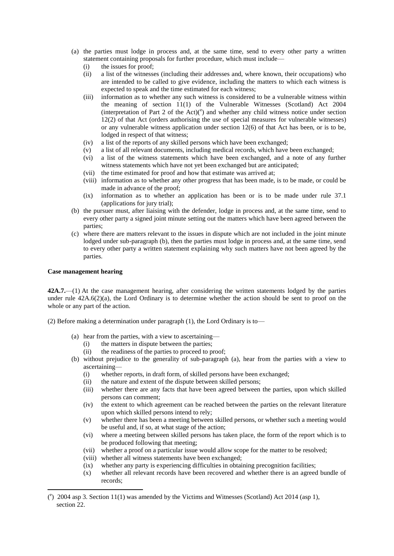- (a) the parties must lodge in process and, at the same time, send to every other party a written statement containing proposals for further procedure, which must include—
	- (i) the issues for proof;
	- (ii) a list of the witnesses (including their addresses and, where known, their occupations) who are intended to be called to give evidence, including the matters to which each witness is expected to speak and the time estimated for each witness;
	- (iii) information as to whether any such witness is considered to be a vulnerable witness within the meaning of section 11(1) of the Vulnerable Witnesses (Scotland) Act 2004 (interpretation of Part 2 of the  $Act)$ <sup>(e</sup>) and whether any child witness notice under section 12(2) of that Act (orders authorising the use of special measures for vulnerable witnesses) or any vulnerable witness application under section 12(6) of that Act has been, or is to be, lodged in respect of that witness;
	- (iv) a list of the reports of any skilled persons which have been exchanged;
	- (v) a list of all relevant documents, including medical records, which have been exchanged;
	- (vi) a list of the witness statements which have been exchanged, and a note of any further witness statements which have not yet been exchanged but are anticipated;
	- (vii) the time estimated for proof and how that estimate was arrived at;
	- (viii) information as to whether any other progress that has been made, is to be made, or could be made in advance of the proof;
	- (ix) information as to whether an application has been or is to be made under rule 37.1 (applications for jury trial);
- (b) the pursuer must, after liaising with the defender, lodge in process and, at the same time, send to every other party a signed joint minute setting out the matters which have been agreed between the parties;
- (c) where there are matters relevant to the issues in dispute which are not included in the joint minute lodged under sub-paragraph (b), then the parties must lodge in process and, at the same time, send to every other party a written statement explaining why such matters have not been agreed by the parties.

## **Case management hearing**

**.** 

**42A.7.**—(1) At the case management hearing, after considering the written statements lodged by the parties under rule  $42A.6(2)(a)$ , the Lord Ordinary is to determine whether the action should be sent to proof on the whole or any part of the action.

(2) Before making a determination under paragraph (1), the Lord Ordinary is to—

- (a) hear from the parties, with a view to ascertaining—
	- (i) the matters in dispute between the parties;
	- (ii) the readiness of the parties to proceed to proof;
- (b) without prejudice to the generality of sub-paragraph (a), hear from the parties with a view to ascertaining—
	- (i) whether reports, in draft form, of skilled persons have been exchanged;
	- (ii) the nature and extent of the dispute between skilled persons;
	- (iii) whether there are any facts that have been agreed between the parties, upon which skilled persons can comment;
	- (iv) the extent to which agreement can be reached between the parties on the relevant literature upon which skilled persons intend to rely;
	- (v) whether there has been a meeting between skilled persons, or whether such a meeting would be useful and, if so, at what stage of the action;
	- (vi) where a meeting between skilled persons has taken place, the form of the report which is to be produced following that meeting;
	- (vii) whether a proof on a particular issue would allow scope for the matter to be resolved;
	- (viii) whether all witness statements have been exchanged;
	- (ix) whether any party is experiencing difficulties in obtaining precognition facilities;
	- (x) whether all relevant records have been recovered and whether there is an agreed bundle of records;

 $({}^{\degree})$  2004 asp 3. Section 11(1) was amended by the Victims and Witnesses (Scotland) Act 2014 (asp 1), section 22.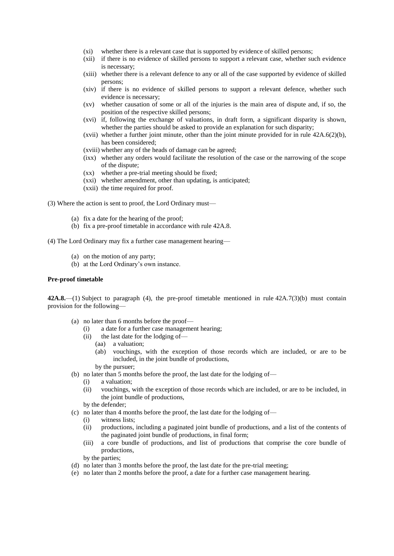- (xi) whether there is a relevant case that is supported by evidence of skilled persons;
- (xii) if there is no evidence of skilled persons to support a relevant case, whether such evidence is necessary;
- (xiii) whether there is a relevant defence to any or all of the case supported by evidence of skilled persons;
- (xiv) if there is no evidence of skilled persons to support a relevant defence, whether such evidence is necessary;
- (xv) whether causation of some or all of the injuries is the main area of dispute and, if so, the position of the respective skilled persons;
- (xvi) if, following the exchange of valuations, in draft form, a significant disparity is shown, whether the parties should be asked to provide an explanation for such disparity;
- (xvii) whether a further joint minute, other than the joint minute provided for in rule  $42A.6(2)(b)$ , has been considered;
- (xviii) whether any of the heads of damage can be agreed;
- (ixx) whether any orders would facilitate the resolution of the case or the narrowing of the scope of the dispute;
- (xx) whether a pre-trial meeting should be fixed;
- (xxi) whether amendment, other than updating, is anticipated;
- (xxii) the time required for proof.

(3) Where the action is sent to proof, the Lord Ordinary must—

- (a) fix a date for the hearing of the proof;
- (b) fix a pre-proof timetable in accordance with rule 42A.8.

(4) The Lord Ordinary may fix a further case management hearing—

- (a) on the motion of any party;
- (b) at the Lord Ordinary's own instance.

#### **Pre-proof timetable**

**42A.8.**—(1) Subject to paragraph (4), the pre-proof timetable mentioned in rule 42A.7(3)(b) must contain provision for the following—

- (a) no later than 6 months before the proof—
	- (i) a date for a further case management hearing;
	- (ii) the last date for the lodging of—
		- (aa) a valuation;
		- (ab) vouchings, with the exception of those records which are included, or are to be included, in the joint bundle of productions,
		- by the pursuer;
- (b) no later than 5 months before the proof, the last date for the lodging of—
	- (i) a valuation;
	- (ii) vouchings, with the exception of those records which are included, or are to be included, in the joint bundle of productions,
	- by the defender;
- (c) no later than 4 months before the proof, the last date for the lodging of—
	- (i) witness lists;
	- (ii) productions, including a paginated joint bundle of productions, and a list of the contents of the paginated joint bundle of productions, in final form;
	- (iii) a core bundle of productions, and list of productions that comprise the core bundle of productions,

by the parties;

- (d) no later than 3 months before the proof, the last date for the pre-trial meeting;
- (e) no later than 2 months before the proof, a date for a further case management hearing.